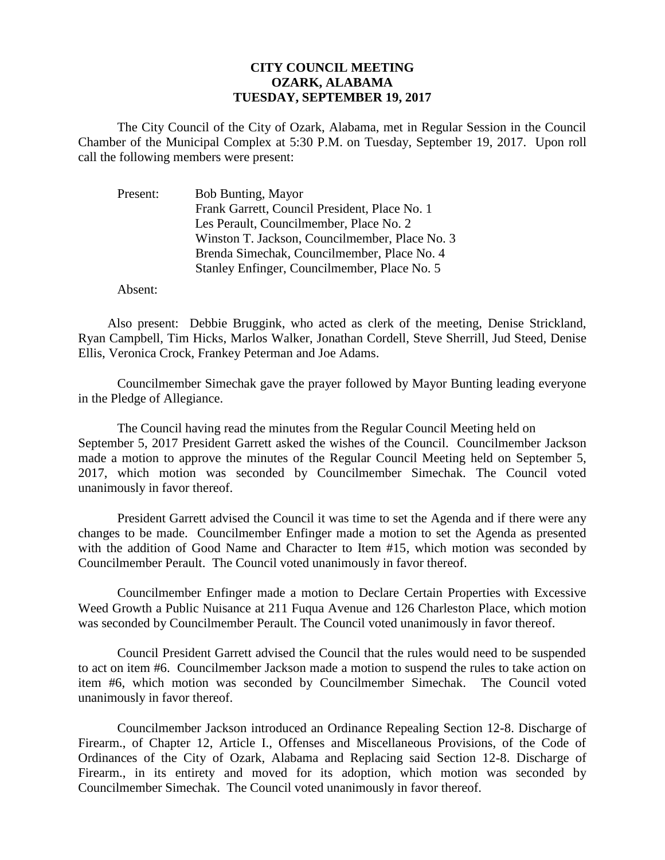## **CITY COUNCIL MEETING OZARK, ALABAMA TUESDAY, SEPTEMBER 19, 2017**

The City Council of the City of Ozark, Alabama, met in Regular Session in the Council Chamber of the Municipal Complex at 5:30 P.M. on Tuesday, September 19, 2017. Upon roll call the following members were present:

| Present: | Bob Bunting, Mayor                             |
|----------|------------------------------------------------|
|          | Frank Garrett, Council President, Place No. 1  |
|          | Les Perault, Councilmember, Place No. 2        |
|          | Winston T. Jackson, Councilmember, Place No. 3 |
|          | Brenda Simechak, Councilmember, Place No. 4    |
|          | Stanley Enfinger, Councilmember, Place No. 5   |

Absent:

Also present: Debbie Bruggink, who acted as clerk of the meeting, Denise Strickland, Ryan Campbell, Tim Hicks, Marlos Walker, Jonathan Cordell, Steve Sherrill, Jud Steed, Denise Ellis, Veronica Crock, Frankey Peterman and Joe Adams.

Councilmember Simechak gave the prayer followed by Mayor Bunting leading everyone in the Pledge of Allegiance.

The Council having read the minutes from the Regular Council Meeting held on September 5, 2017 President Garrett asked the wishes of the Council. Councilmember Jackson made a motion to approve the minutes of the Regular Council Meeting held on September 5, 2017, which motion was seconded by Councilmember Simechak. The Council voted unanimously in favor thereof.

President Garrett advised the Council it was time to set the Agenda and if there were any changes to be made. Councilmember Enfinger made a motion to set the Agenda as presented with the addition of Good Name and Character to Item #15, which motion was seconded by Councilmember Perault. The Council voted unanimously in favor thereof.

Councilmember Enfinger made a motion to Declare Certain Properties with Excessive Weed Growth a Public Nuisance at 211 Fuqua Avenue and 126 Charleston Place, which motion was seconded by Councilmember Perault. The Council voted unanimously in favor thereof.

Council President Garrett advised the Council that the rules would need to be suspended to act on item #6. Councilmember Jackson made a motion to suspend the rules to take action on item #6, which motion was seconded by Councilmember Simechak. The Council voted unanimously in favor thereof.

Councilmember Jackson introduced an Ordinance Repealing Section 12-8. Discharge of Firearm., of Chapter 12, Article I., Offenses and Miscellaneous Provisions, of the Code of Ordinances of the City of Ozark, Alabama and Replacing said Section 12-8. Discharge of Firearm., in its entirety and moved for its adoption, which motion was seconded by Councilmember Simechak. The Council voted unanimously in favor thereof.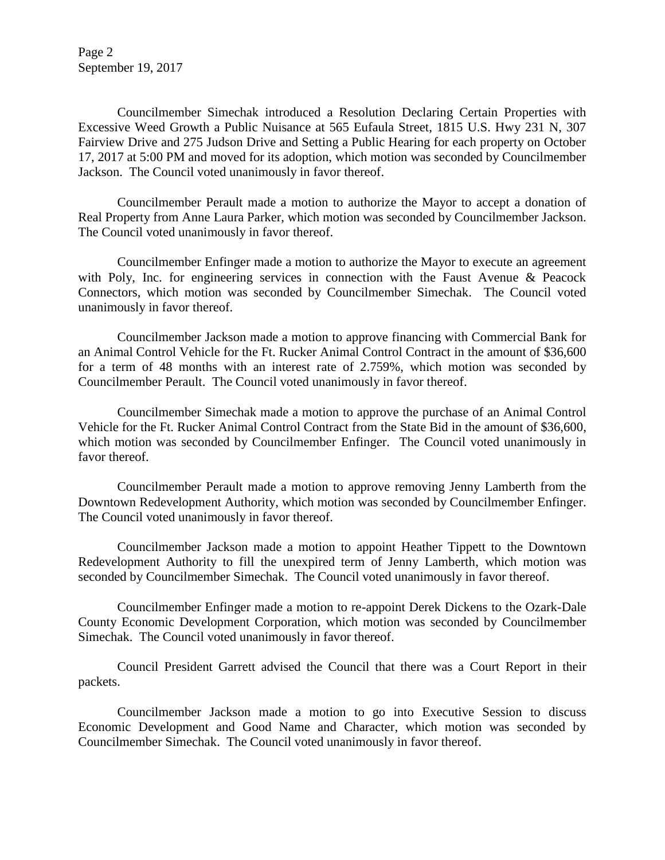Page 2 September 19, 2017

Councilmember Simechak introduced a Resolution Declaring Certain Properties with Excessive Weed Growth a Public Nuisance at 565 Eufaula Street, 1815 U.S. Hwy 231 N, 307 Fairview Drive and 275 Judson Drive and Setting a Public Hearing for each property on October 17, 2017 at 5:00 PM and moved for its adoption, which motion was seconded by Councilmember Jackson. The Council voted unanimously in favor thereof.

Councilmember Perault made a motion to authorize the Mayor to accept a donation of Real Property from Anne Laura Parker, which motion was seconded by Councilmember Jackson. The Council voted unanimously in favor thereof.

Councilmember Enfinger made a motion to authorize the Mayor to execute an agreement with Poly, Inc. for engineering services in connection with the Faust Avenue & Peacock Connectors, which motion was seconded by Councilmember Simechak. The Council voted unanimously in favor thereof.

Councilmember Jackson made a motion to approve financing with Commercial Bank for an Animal Control Vehicle for the Ft. Rucker Animal Control Contract in the amount of \$36,600 for a term of 48 months with an interest rate of 2.759%, which motion was seconded by Councilmember Perault. The Council voted unanimously in favor thereof.

Councilmember Simechak made a motion to approve the purchase of an Animal Control Vehicle for the Ft. Rucker Animal Control Contract from the State Bid in the amount of \$36,600, which motion was seconded by Councilmember Enfinger. The Council voted unanimously in favor thereof

Councilmember Perault made a motion to approve removing Jenny Lamberth from the Downtown Redevelopment Authority, which motion was seconded by Councilmember Enfinger. The Council voted unanimously in favor thereof.

Councilmember Jackson made a motion to appoint Heather Tippett to the Downtown Redevelopment Authority to fill the unexpired term of Jenny Lamberth, which motion was seconded by Councilmember Simechak. The Council voted unanimously in favor thereof.

Councilmember Enfinger made a motion to re-appoint Derek Dickens to the Ozark-Dale County Economic Development Corporation, which motion was seconded by Councilmember Simechak. The Council voted unanimously in favor thereof.

Council President Garrett advised the Council that there was a Court Report in their packets.

Councilmember Jackson made a motion to go into Executive Session to discuss Economic Development and Good Name and Character, which motion was seconded by Councilmember Simechak. The Council voted unanimously in favor thereof.